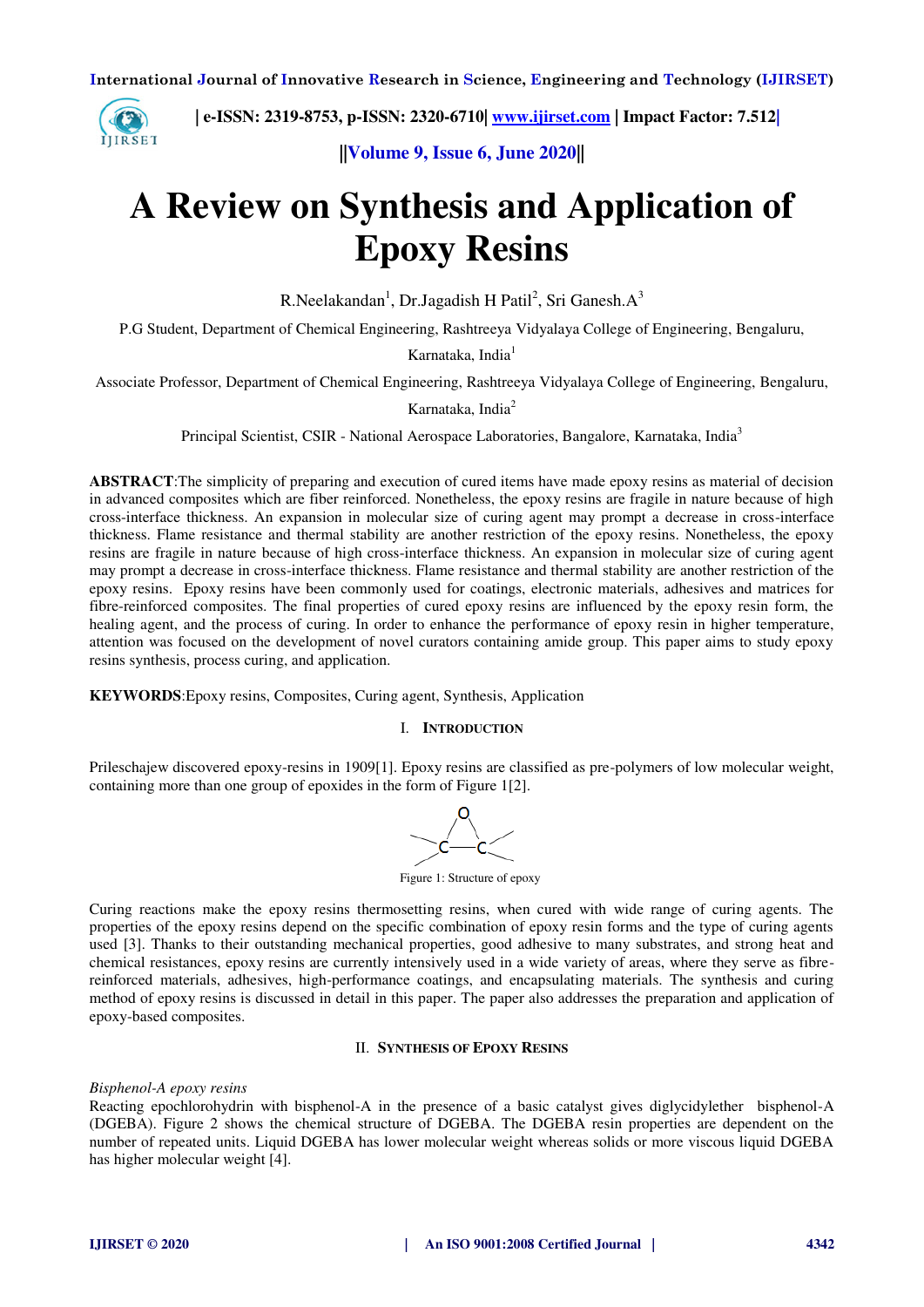

 **| e-ISSN: 2319-8753, p-ISSN: 2320-6710| [www.ijirset.com](http://www.ijirset.com/) | Impact Factor: 7.512|**

**||Volume 9, Issue 6, June 2020||** 

# **A Review on Synthesis and Application of Epoxy Resins**

R.Neelakandan<sup>1</sup>, Dr.Jagadish H Patil<sup>2</sup>, Sri Ganesh.A<sup>3</sup>

P.G Student, Department of Chemical Engineering, Rashtreeya Vidyalaya College of Engineering, Bengaluru,

Karnataka, India<sup>1</sup>

Associate Professor, Department of Chemical Engineering, Rashtreeya Vidyalaya College of Engineering, Bengaluru,

## Karnataka, India<sup>2</sup>

Principal Scientist, CSIR - National Aerospace Laboratories, Bangalore, Karnataka, India<sup>3</sup>

**ABSTRACT**:The simplicity of preparing and execution of cured items have made epoxy resins as material of decision in advanced composites which are fiber reinforced. Nonetheless, the epoxy resins are fragile in nature because of high cross-interface thickness. An expansion in molecular size of curing agent may prompt a decrease in cross-interface thickness. Flame resistance and thermal stability are another restriction of the epoxy resins. Nonetheless, the epoxy resins are fragile in nature because of high cross-interface thickness. An expansion in molecular size of curing agent may prompt a decrease in cross-interface thickness. Flame resistance and thermal stability are another restriction of the epoxy resins. Epoxy resins have been commonly used for coatings, electronic materials, adhesives and matrices for fibre-reinforced composites. The final properties of cured epoxy resins are influenced by the epoxy resin form, the healing agent, and the process of curing. In order to enhance the performance of epoxy resin in higher temperature, attention was focused on the development of novel curators containing amide group. This paper aims to study epoxy resins synthesis, process curing, and application.

**KEYWORDS**:Epoxy resins, Composites, Curing agent, Synthesis, Application

## I. **INTRODUCTION**

Prileschajew discovered epoxy-resins in 1909[1]. Epoxy resins are classified as pre-polymers of low molecular weight, containing more than one group of epoxides in the form of Figure 1[2].

Figure 1: Structure of epoxy

Curing reactions make the epoxy resins thermosetting resins, when cured with wide range of curing agents. The properties of the epoxy resins depend on the specific combination of epoxy resin forms and the type of curing agents used [3]. Thanks to their outstanding mechanical properties, good adhesive to many substrates, and strong heat and chemical resistances, epoxy resins are currently intensively used in a wide variety of areas, where they serve as fibrereinforced materials, adhesives, high-performance coatings, and encapsulating materials. The synthesis and curing method of epoxy resins is discussed in detail in this paper. The paper also addresses the preparation and application of epoxy-based composites.

## II. **SYNTHESIS OF EPOXY RESINS**

*Bisphenol-A epoxy resins* 

Reacting epochlorohydrin with bisphenol-A in the presence of a basic catalyst gives diglycidylether bisphenol-A (DGEBA). Figure 2 shows the chemical structure of DGEBA. The DGEBA resin properties are dependent on the number of repeated units. Liquid DGEBA has lower molecular weight whereas solids or more viscous liquid DGEBA has higher molecular weight [4].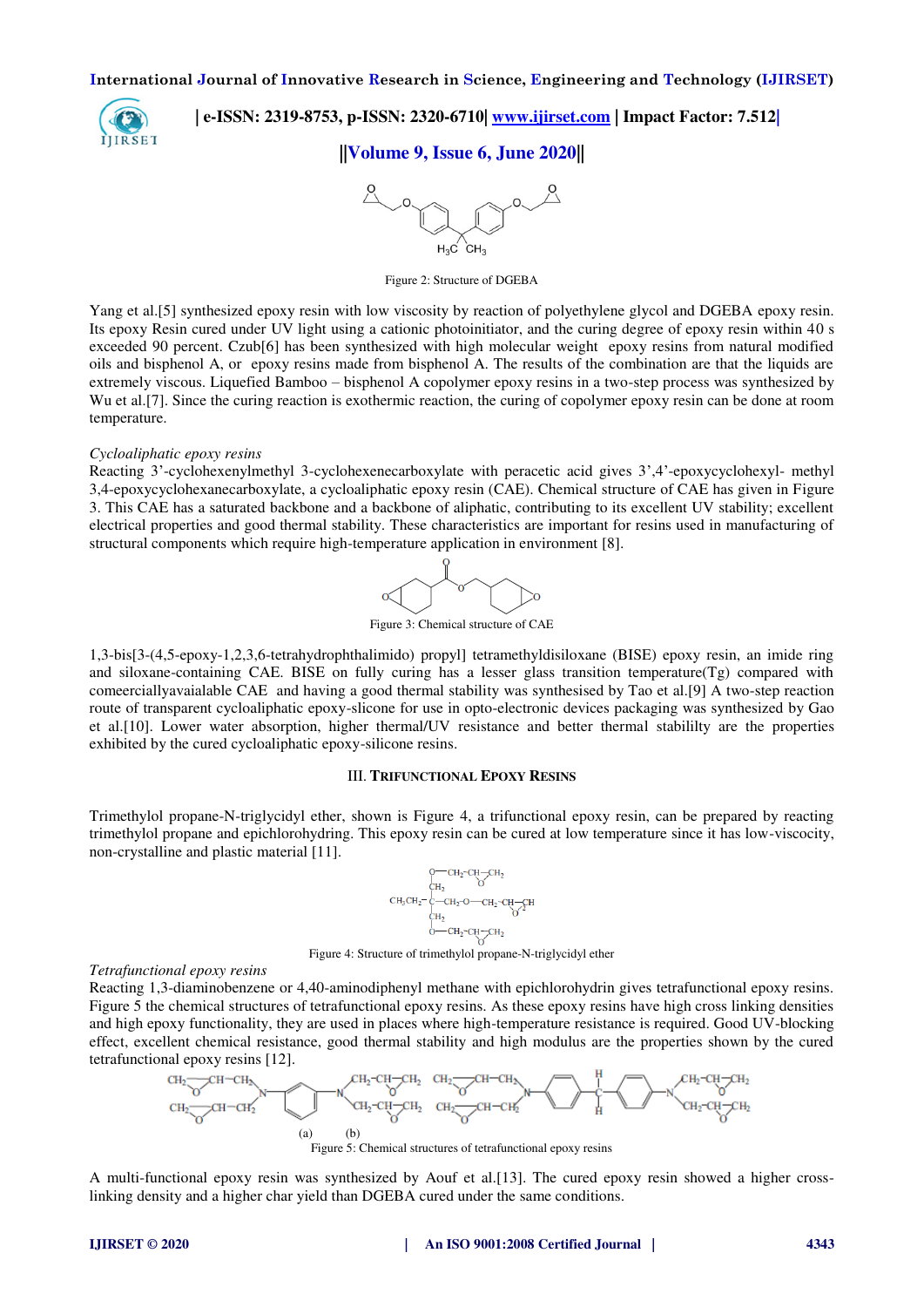

 **| e-ISSN: 2319-8753, p-ISSN: 2320-6710| [www.ijirset.com](http://www.ijirset.com/) | Impact Factor: 7.512|**

# **||Volume 9, Issue 6, June 2020||**



Figure 2: Structure of DGEBA

Yang et al.[5] synthesized epoxy resin with low viscosity by reaction of polyethylene glycol and DGEBA epoxy resin. Its epoxy Resin cured under UV light using a cationic photoinitiator, and the curing degree of epoxy resin within 40 s exceeded 90 percent. Czub[6] has been synthesized with high molecular weight epoxy resins from natural modified oils and bisphenol A, or epoxy resins made from bisphenol A. The results of the combination are that the liquids are extremely viscous. Liquefied Bamboo – bisphenol A copolymer epoxy resins in a two-step process was synthesized by Wu et al.<sup>[7]</sup>. Since the curing reaction is exothermic reaction, the curing of copolymer epoxy resin can be done at room temperature.

#### *Cycloaliphatic epoxy resins*

Reacting 3'-cyclohexenylmethyl 3-cyclohexenecarboxylate with peracetic acid gives 3',4'-epoxycyclohexyl- methyl 3,4-epoxycyclohexanecarboxylate, a cycloaliphatic epoxy resin (CAE). Chemical structure of CAE has given in Figure 3. This CAE has a saturated backbone and a backbone of aliphatic, contributing to its excellent UV stability; excellent electrical properties and good thermal stability. These characteristics are important for resins used in manufacturing of structural components which require high-temperature application in environment [8].



Figure 3: Chemical structure of CAE

1,3-bis[3-(4,5-epoxy-1,2,3,6-tetrahydrophthalimido) propyl] tetramethyldisiloxane (BISE) epoxy resin, an imide ring and siloxane-containing CAE. BISE on fully curing has a lesser glass transition temperature(Tg) compared with comeerciallyavaialable CAE and having a good thermal stability was synthesised by Tao et al.[9] A two-step reaction route of transparent cycloaliphatic epoxy-slicone for use in opto-electronic devices packaging was synthesized by Gao et al.[10]. Lower water absorption, higher thermal/UV resistance and better thermal stabililty are the properties exhibited by the cured cycloaliphatic epoxy-silicone resins.

## III. **TRIFUNCTIONAL EPOXY RESINS**

Trimethylol propane-N-triglycidyl ether, shown is Figure 4, a trifunctional epoxy resin, can be prepared by reacting trimethylol propane and epichlorohydring. This epoxy resin can be cured at low temperature since it has low-viscocity, non-crystalline and plastic material [11].

$$
\begin{array}{c} {\begin{array}{c} {\mathsf{C}}\mathsf{H}_2\text{-}\mathsf{C}\mathsf{H}_2\text{-}\mathsf{C}\mathsf{H}_2\\ {\mathsf{C}}\mathsf{H}_2 \end{array}}\\ {\mathsf{C}}\mathsf{H}_3\mathsf{C}\mathsf{H}_2\text{-}\overset{\mathsf{L}}{\mathsf{C}}\text{-}\mathsf{C}\mathsf{H}_2\text{-}\mathsf{O}\text{-}\mathsf{C}}\mathsf{H}_2\text{-}\mathsf{C}\mathsf{C}\mathsf{H}_2\text{-}\mathsf{C}\mathsf{H}_1\\ {\begin{array}{c} {\mathsf{H}}_2\\ {\mathsf{O}}\text{-}\mathsf{C}\mathsf{H}_2\text{-}\mathsf{C}\mathsf{H}_2\text{-}\mathsf{C}\mathsf{H}_2\\ {\begin{array}{c} {\mathsf{O}}\text{-}\mathsf{C}\mathsf{H}_2\text{-}\mathsf{C}\mathsf{H}_2\\ {\end{array}} \end{array}}\\
$$

#### Figure 4: Structure of trimethylol propane-N-triglycidyl ether

#### *Tetrafunctional epoxy resins*

Reacting 1,3-diaminobenzene or 4,40-aminodiphenyl methane with epichlorohydrin gives tetrafunctional epoxy resins. Figure 5 the chemical structures of tetrafunctional epoxy resins. As these epoxy resins have high cross linking densities and high epoxy functionality, they are used in places where high-temperature resistance is required. Good UV-blocking effect, excellent chemical resistance, good thermal stability and high modulus are the properties shown by the cured tetrafunctional epoxy resins [12].



Figure 5: Chemical structures of tetrafunctional epoxy resins

A multi-functional epoxy resin was synthesized by Aouf et al.[13]. The cured epoxy resin showed a higher crosslinking density and a higher char yield than DGEBA cured under the same conditions.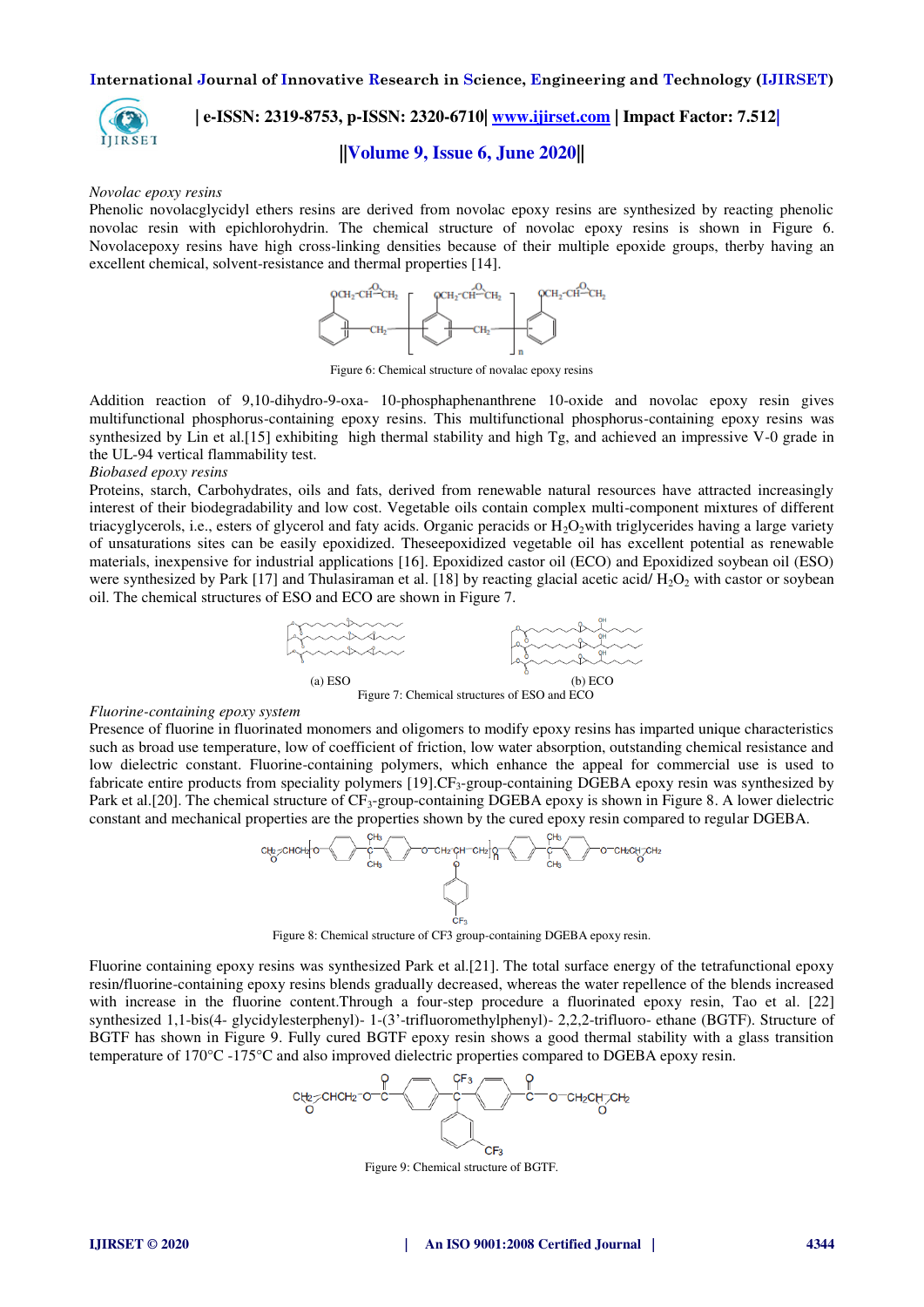

## **| e-ISSN: 2319-8753, p-ISSN: 2320-6710| [www.ijirset.com](http://www.ijirset.com/) | Impact Factor: 7.512|**

## **||Volume 9, Issue 6, June 2020||**

#### *Novolac epoxy resins*

Phenolic novolacglycidyl ethers resins are derived from novolac epoxy resins are synthesized by reacting phenolic novolac resin with epichlorohydrin. The chemical structure of novolac epoxy resins is shown in Figure 6. Novolacepoxy resins have high cross-linking densities because of their multiple epoxide groups, therby having an excellent chemical, solvent-resistance and thermal properties [14].



Figure 6: Chemical structure of novalac epoxy resins

Addition reaction of 9,10-dihydro-9-oxa- 10-phosphaphenanthrene 10-oxide and novolac epoxy resin gives multifunctional phosphorus-containing epoxy resins. This multifunctional phosphorus-containing epoxy resins was synthesized by Lin et al.[15] exhibiting high thermal stability and high Tg, and achieved an impressive V-0 grade in the UL-94 vertical flammability test.

## *Biobased epoxy resins*

Proteins, starch, Carbohydrates, oils and fats, derived from renewable natural resources have attracted increasingly interest of their biodegradability and low cost. Vegetable oils contain complex multi-component mixtures of different triacyglycerols, i.e., esters of glycerol and faty acids. Organic peracids or  $H_2O_2$  with triglycerides having a large variety of unsaturations sites can be easily epoxidized. Theseepoxidized vegetable oil has excellent potential as renewable materials, inexpensive for industrial applications [16]. Epoxidized castor oil (ECO) and Epoxidized soybean oil (ESO) were synthesized by Park  $[17]$  and Thulasiraman et al.  $[18]$  by reacting glacial acetic acid/  $H_2O_2$  with castor or soybean oil. The chemical structures of ESO and ECO are shown in Figure 7.



#### *Fluorine-containing epoxy system*

Presence of fluorine in fluorinated monomers and oligomers to modify epoxy resins has imparted unique characteristics such as broad use temperature, low of coefficient of friction, low water absorption, outstanding chemical resistance and low dielectric constant. Fluorine-containing polymers, which enhance the appeal for commercial use is used to fabricate entire products from speciality polymers [19].CF<sub>3</sub>-group-containing DGEBA epoxy resin was synthesized by Park et al. [20]. The chemical structure of  $CF_3$ -group-containing DGEBA epoxy is shown in Figure 8. A lower dielectric constant and mechanical properties are the properties shown by the cured epoxy resin compared to regular DGEBA.



Figure 8: Chemical structure of CF3 group-containing DGEBA epoxy resin.

Fluorine containing epoxy resins was synthesized Park et al.[21]. The total surface energy of the tetrafunctional epoxy resin/fluorine-containing epoxy resins blends gradually decreased, whereas the water repellence of the blends increased with increase in the fluorine content.Through a four-step procedure a fluorinated epoxy resin, Tao et al. [22] synthesized 1,1-bis(4- glycidylesterphenyl)- 1-(3'-trifluoromethylphenyl)- 2,2,2-trifluoro- ethane (BGTF). Structure of BGTF has shown in Figure 9. Fully cured BGTF epoxy resin shows a good thermal stability with a glass transition temperature of 170°C -175°C and also improved dielectric properties compared to DGEBA epoxy resin.



Figure 9: Chemical structure of BGTF.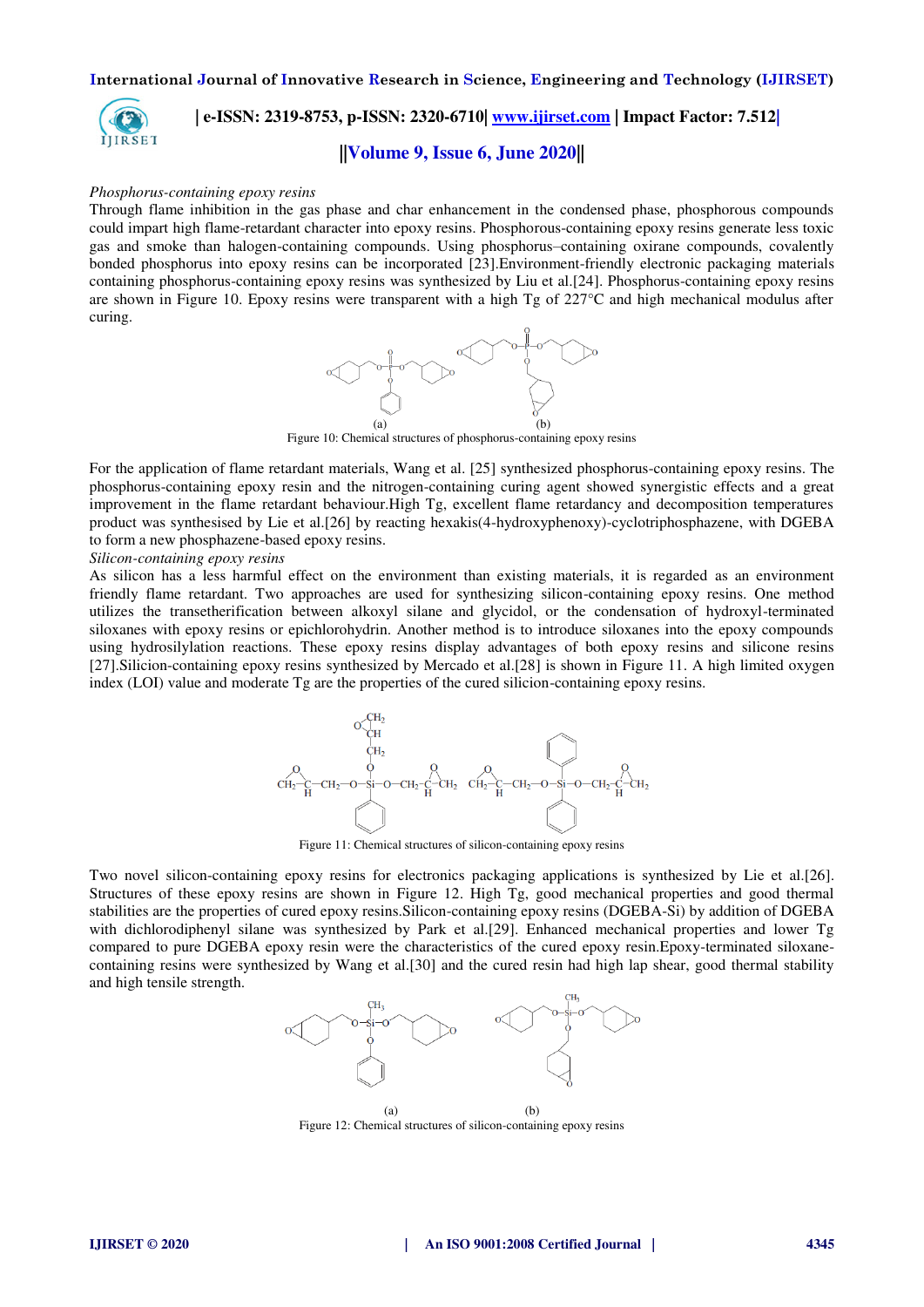

## **| e-ISSN: 2319-8753, p-ISSN: 2320-6710| [www.ijirset.com](http://www.ijirset.com/) | Impact Factor: 7.512|**

## **||Volume 9, Issue 6, June 2020||**

#### *Phosphorus-containing epoxy resins*

Through flame inhibition in the gas phase and char enhancement in the condensed phase, phosphorous compounds could impart high flame-retardant character into epoxy resins. Phosphorous-containing epoxy resins generate less toxic gas and smoke than halogen-containing compounds. Using phosphorus–containing oxirane compounds, covalently bonded phosphorus into epoxy resins can be incorporated [23].Environment-friendly electronic packaging materials containing phosphorus-containing epoxy resins was synthesized by Liu et al.[24]. Phosphorus-containing epoxy resins are shown in Figure 10. Epoxy resins were transparent with a high Tg of 227°C and high mechanical modulus after curing.



Figure 10: Chemical structures of phosphorus-containing epoxy resins

For the application of flame retardant materials, Wang et al. [25] synthesized phosphorus-containing epoxy resins. The phosphorus-containing epoxy resin and the nitrogen-containing curing agent showed synergistic effects and a great improvement in the flame retardant behaviour.High Tg, excellent flame retardancy and decomposition temperatures product was synthesised by Lie et al.[26] by reacting hexakis(4-hydroxyphenoxy)-cyclotriphosphazene, with DGEBA to form a new phosphazene-based epoxy resins.

#### *Silicon-containing epoxy resins*

As silicon has a less harmful effect on the environment than existing materials, it is regarded as an environment friendly flame retardant. Two approaches are used for synthesizing silicon-containing epoxy resins. One method utilizes the transetherification between alkoxyl silane and glycidol, or the condensation of hydroxyl-terminated siloxanes with epoxy resins or epichlorohydrin. Another method is to introduce siloxanes into the epoxy compounds using hydrosilylation reactions. These epoxy resins display advantages of both epoxy resins and silicone resins [27].Silicion-containing epoxy resins synthesized by Mercado et al.[28] is shown in Figure 11. A high limited oxygen index (LOI) value and moderate Tg are the properties of the cured silicion-containing epoxy resins.



Figure 11: Chemical structures of silicon-containing epoxy resins

Two novel silicon-containing epoxy resins for electronics packaging applications is synthesized by Lie et al.[26]. Structures of these epoxy resins are shown in Figure 12. High Tg, good mechanical properties and good thermal stabilities are the properties of cured epoxy resins.Silicon-containing epoxy resins (DGEBA-Si) by addition of DGEBA with dichlorodiphenyl silane was synthesized by Park et al.[29]. Enhanced mechanical properties and lower Tg compared to pure DGEBA epoxy resin were the characteristics of the cured epoxy resin.Epoxy-terminated siloxanecontaining resins were synthesized by Wang et al.[30] and the cured resin had high lap shear, good thermal stability and high tensile strength.



(a) (b) Figure 12: Chemical structures of silicon-containing epoxy resins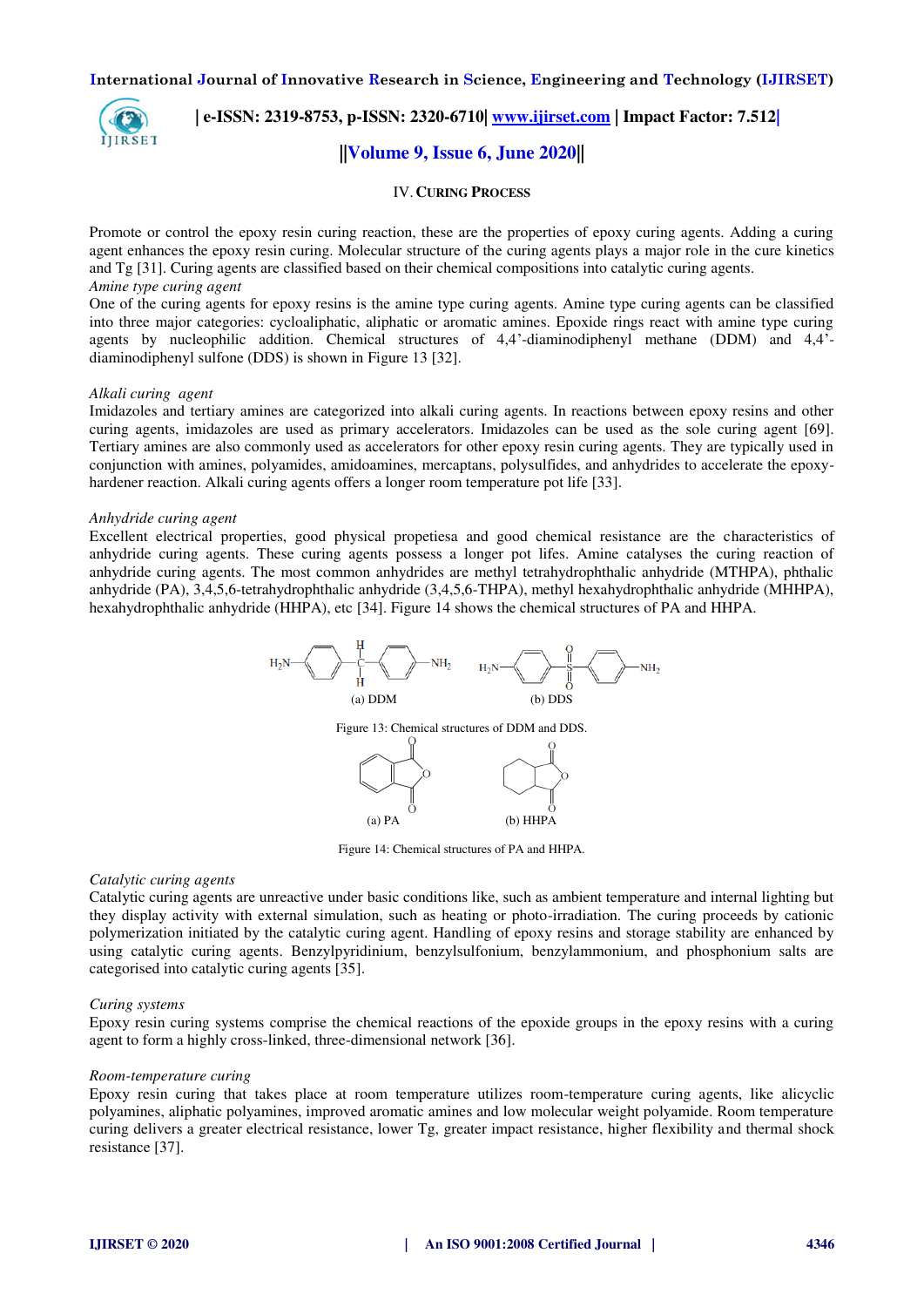

# **| e-ISSN: 2319-8753, p-ISSN: 2320-6710| [www.ijirset.com](http://www.ijirset.com/) | Impact Factor: 7.512|**

## **||Volume 9, Issue 6, June 2020||**

## IV.**CURING PROCESS**

Promote or control the epoxy resin curing reaction, these are the properties of epoxy curing agents. Adding a curing agent enhances the epoxy resin curing. Molecular structure of the curing agents plays a major role in the cure kinetics and Tg [31]. Curing agents are classified based on their chemical compositions into catalytic curing agents. *Amine type curing agent* 

One of the curing agents for epoxy resins is the amine type curing agents. Amine type curing agents can be classified into three major categories: cycloaliphatic, aliphatic or aromatic amines. Epoxide rings react with amine type curing agents by nucleophilic addition. Chemical structures of 4,4'-diaminodiphenyl methane (DDM) and 4,4' diaminodiphenyl sulfone (DDS) is shown in Figure 13 [32].

#### *Alkali curing agent*

Imidazoles and tertiary amines are categorized into alkali curing agents. In reactions between epoxy resins and other curing agents, imidazoles are used as primary accelerators. Imidazoles can be used as the sole curing agent [69]. Tertiary amines are also commonly used as accelerators for other epoxy resin curing agents. They are typically used in conjunction with amines, polyamides, amidoamines, mercaptans, polysulfides, and anhydrides to accelerate the epoxyhardener reaction. Alkali curing agents offers a longer room temperature pot life [33].

#### *Anhydride curing agent*

Excellent electrical properties, good physical propetiesa and good chemical resistance are the characteristics of anhydride curing agents. These curing agents possess a longer pot lifes. Amine catalyses the curing reaction of anhydride curing agents. The most common anhydrides are methyl tetrahydrophthalic anhydride (MTHPA), phthalic anhydride (PA), 3,4,5,6-tetrahydrophthalic anhydride (3,4,5,6-THPA), methyl hexahydrophthalic anhydride (MHHPA), hexahydrophthalic anhydride (HHPA), etc [34]. Figure 14 shows the chemical structures of PA and HHPA.



Figure 14: Chemical structures of PA and HHPA.

#### *Catalytic curing agents*

Catalytic curing agents are unreactive under basic conditions like, such as ambient temperature and internal lighting but they display activity with external simulation, such as heating or photo-irradiation. The curing proceeds by cationic polymerization initiated by the catalytic curing agent. Handling of epoxy resins and storage stability are enhanced by using catalytic curing agents. Benzylpyridinium, benzylsulfonium, benzylammonium, and phosphonium salts are categorised into catalytic curing agents [35].

#### *Curing systems*

Epoxy resin curing systems comprise the chemical reactions of the epoxide groups in the epoxy resins with a curing agent to form a highly cross-linked, three-dimensional network [36].

#### *Room-temperature curing*

Epoxy resin curing that takes place at room temperature utilizes room-temperature curing agents, like alicyclic polyamines, aliphatic polyamines, improved aromatic amines and low molecular weight polyamide. Room temperature curing delivers a greater electrical resistance, lower Tg, greater impact resistance, higher flexibility and thermal shock resistance [37].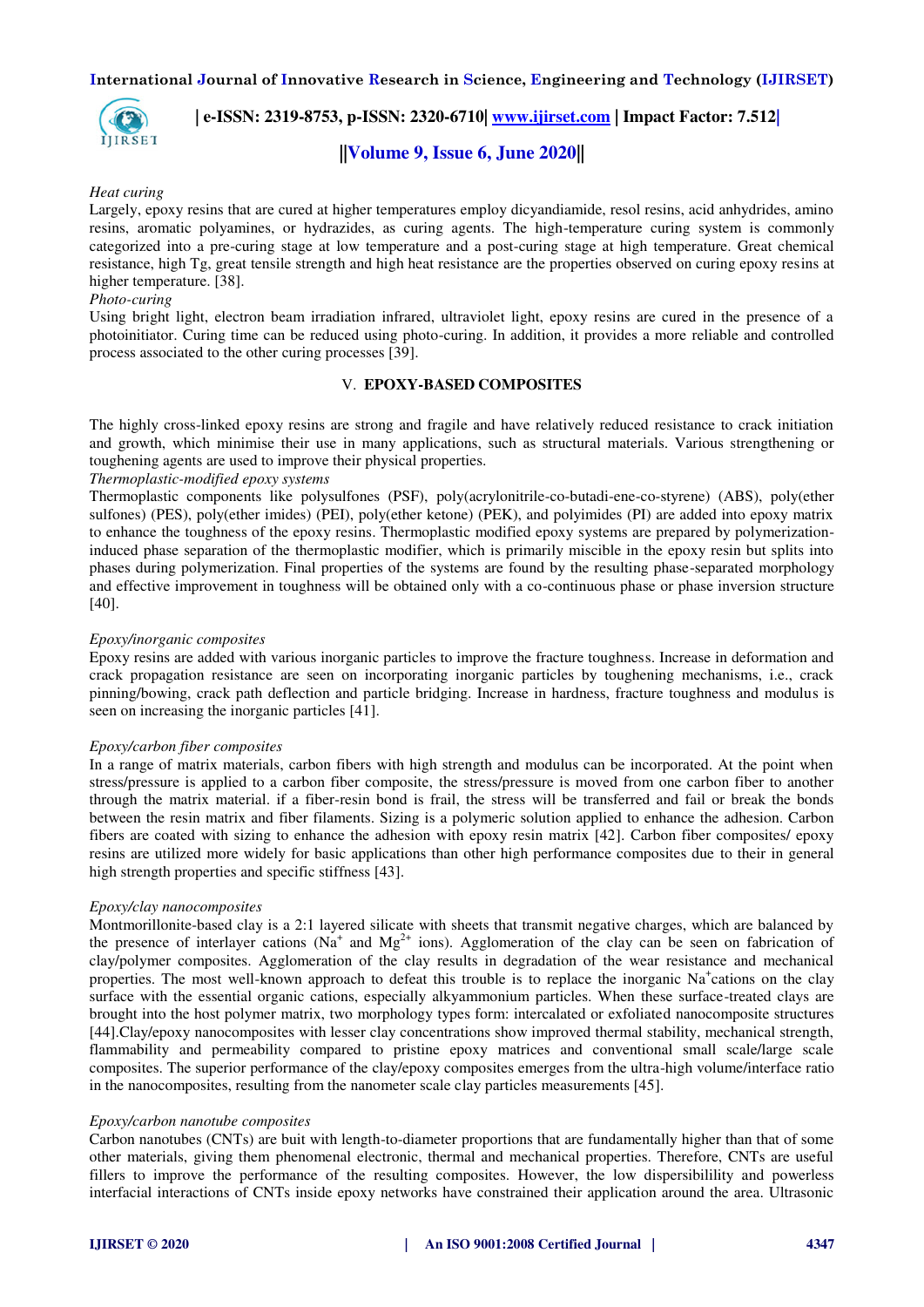

 **| e-ISSN: 2319-8753, p-ISSN: 2320-6710| [www.ijirset.com](http://www.ijirset.com/) | Impact Factor: 7.512|**

## **||Volume 9, Issue 6, June 2020||**

## *Heat curing*

Largely, epoxy resins that are cured at higher temperatures employ dicyandiamide, resol resins, acid anhydrides, amino resins, aromatic polyamines, or hydrazides, as curing agents. The high-temperature curing system is commonly categorized into a pre-curing stage at low temperature and a post-curing stage at high temperature. Great chemical resistance, high Tg, great tensile strength and high heat resistance are the properties observed on curing epoxy resins at higher temperature. [38].

## *Photo-curing*

Using bright light, electron beam irradiation infrared, ultraviolet light, epoxy resins are cured in the presence of a photoinitiator. Curing time can be reduced using photo-curing. In addition, it provides a more reliable and controlled process associated to the other curing processes [39].

## V. **EPOXY-BASED COMPOSITES**

The highly cross-linked epoxy resins are strong and fragile and have relatively reduced resistance to crack initiation and growth, which minimise their use in many applications, such as structural materials. Various strengthening or toughening agents are used to improve their physical properties.

## *Thermoplastic-modified epoxy systems*

Thermoplastic components like polysulfones (PSF), poly(acrylonitrile-co-butadi-ene-co-styrene) (ABS), poly(ether sulfones) (PES), poly(ether imides) (PEI), poly(ether ketone) (PEK), and polyimides (PI) are added into epoxy matrix to enhance the toughness of the epoxy resins. Thermoplastic modified epoxy systems are prepared by polymerizationinduced phase separation of the thermoplastic modifier, which is primarily miscible in the epoxy resin but splits into phases during polymerization. Final properties of the systems are found by the resulting phase-separated morphology and effective improvement in toughness will be obtained only with a co-continuous phase or phase inversion structure [40].

## *Epoxy/inorganic composites*

Epoxy resins are added with various inorganic particles to improve the fracture toughness. Increase in deformation and crack propagation resistance are seen on incorporating inorganic particles by toughening mechanisms, i.e., crack pinning/bowing, crack path deflection and particle bridging. Increase in hardness, fracture toughness and modulus is seen on increasing the inorganic particles [41].

## *Epoxy/carbon fiber composites*

In a range of matrix materials, carbon fibers with high strength and modulus can be incorporated. At the point when stress/pressure is applied to a carbon fiber composite, the stress/pressure is moved from one carbon fiber to another through the matrix material. if a fiber-resin bond is frail, the stress will be transferred and fail or break the bonds between the resin matrix and fiber filaments. Sizing is a polymeric solution applied to enhance the adhesion. Carbon fibers are coated with sizing to enhance the adhesion with epoxy resin matrix [42]. Carbon fiber composites/ epoxy resins are utilized more widely for basic applications than other high performance composites due to their in general high strength properties and specific stiffness [43].

## *Epoxy/clay nanocomposites*

Montmorillonite-based clay is a 2:1 layered silicate with sheets that transmit negative charges, which are balanced by the presence of interlayer cations ( $Na<sup>+</sup>$  and  $Mg<sup>2+</sup>$  ions). Agglomeration of the clay can be seen on fabrication of clay/polymer composites. Agglomeration of the clay results in degradation of the wear resistance and mechanical properties. The most well-known approach to defeat this trouble is to replace the inorganic Na<sup>+</sup>cations on the clay surface with the essential organic cations, especially alkyammonium particles. When these surface-treated clays are brought into the host polymer matrix, two morphology types form: intercalated or exfoliated nanocomposite structures [44].Clay/epoxy nanocomposites with lesser clay concentrations show improved thermal stability, mechanical strength, flammability and permeability compared to pristine epoxy matrices and conventional small scale/large scale composites. The superior performance of the clay/epoxy composites emerges from the ultra-high volume/interface ratio in the nanocomposites, resulting from the nanometer scale clay particles measurements [45].

## *Epoxy/carbon nanotube composites*

Carbon nanotubes (CNTs) are buit with length-to-diameter proportions that are fundamentally higher than that of some other materials, giving them phenomenal electronic, thermal and mechanical properties. Therefore, CNTs are useful fillers to improve the performance of the resulting composites. However, the low dispersibilility and powerless interfacial interactions of CNTs inside epoxy networks have constrained their application around the area. Ultrasonic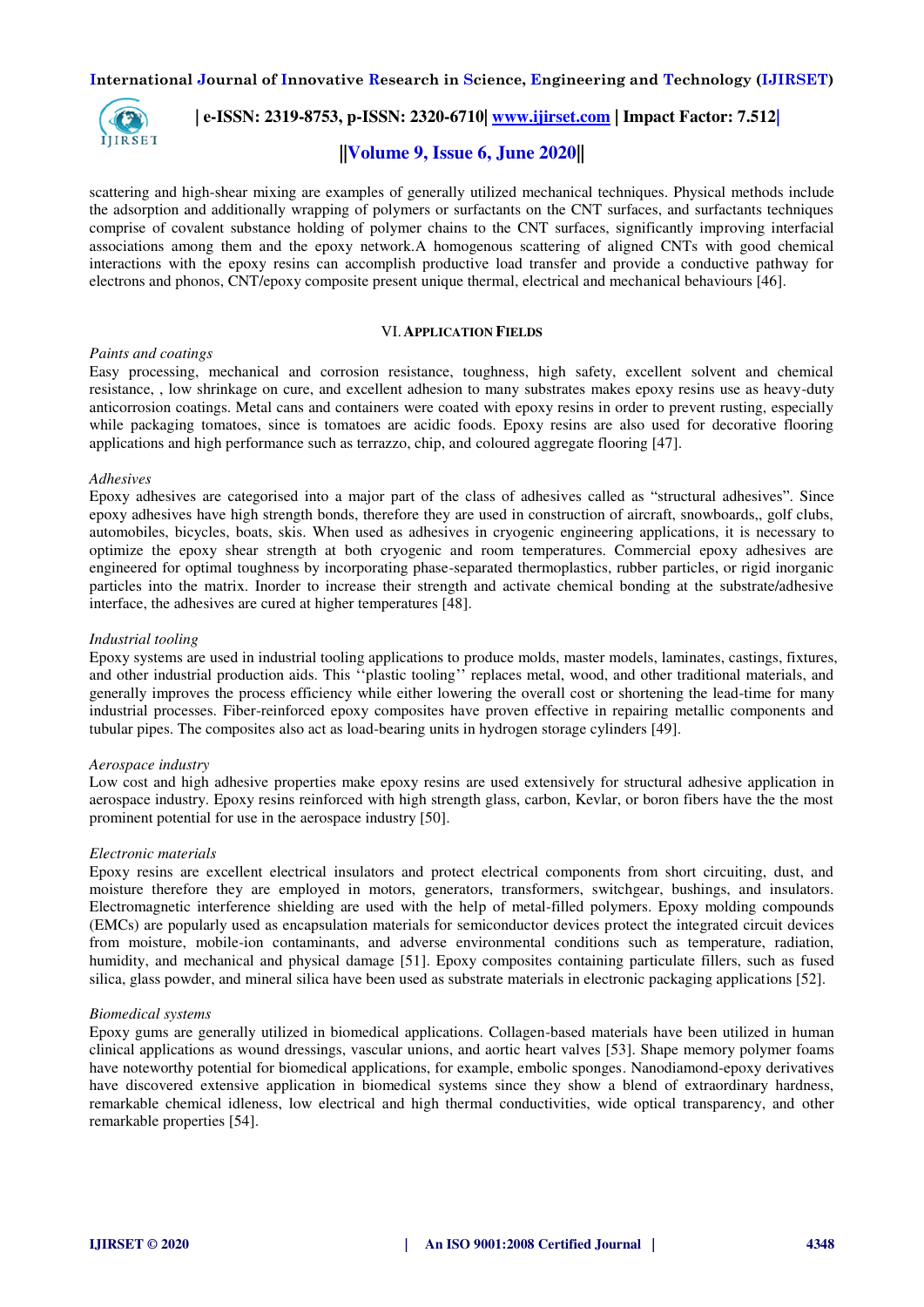

## **| e-ISSN: 2319-8753, p-ISSN: 2320-6710| [www.ijirset.com](http://www.ijirset.com/) | Impact Factor: 7.512|**

## **||Volume 9, Issue 6, June 2020||**

scattering and high-shear mixing are examples of generally utilized mechanical techniques. Physical methods include the adsorption and additionally wrapping of polymers or surfactants on the CNT surfaces, and surfactants techniques comprise of covalent substance holding of polymer chains to the CNT surfaces, significantly improving interfacial associations among them and the epoxy network.A homogenous scattering of aligned CNTs with good chemical interactions with the epoxy resins can accomplish productive load transfer and provide a conductive pathway for electrons and phonos, CNT/epoxy composite present unique thermal, electrical and mechanical behaviours [46].

#### VI.**APPLICATION FIELDS**

## *Paints and coatings*

Easy processing, mechanical and corrosion resistance, toughness, high safety, excellent solvent and chemical resistance, , low shrinkage on cure, and excellent adhesion to many substrates makes epoxy resins use as heavy-duty anticorrosion coatings. Metal cans and containers were coated with epoxy resins in order to prevent rusting, especially while packaging tomatoes, since is tomatoes are acidic foods. Epoxy resins are also used for decorative flooring applications and high performance such as terrazzo, chip, and coloured aggregate flooring [47].

## *Adhesives*

Epoxy adhesives are categorised into a major part of the class of adhesives called as "structural adhesives". Since epoxy adhesives have high strength bonds, therefore they are used in construction of aircraft, snowboards,, golf clubs, automobiles, bicycles, boats, skis. When used as adhesives in cryogenic engineering applications, it is necessary to optimize the epoxy shear strength at both cryogenic and room temperatures. Commercial epoxy adhesives are engineered for optimal toughness by incorporating phase-separated thermoplastics, rubber particles, or rigid inorganic particles into the matrix. Inorder to increase their strength and activate chemical bonding at the substrate/adhesive interface, the adhesives are cured at higher temperatures [48].

#### *Industrial tooling*

Epoxy systems are used in industrial tooling applications to produce molds, master models, laminates, castings, fixtures, and other industrial production aids. This ''plastic tooling'' replaces metal, wood, and other traditional materials, and generally improves the process efficiency while either lowering the overall cost or shortening the lead-time for many industrial processes. Fiber-reinforced epoxy composites have proven effective in repairing metallic components and tubular pipes. The composites also act as load-bearing units in hydrogen storage cylinders [49].

## *Aerospace industry*

Low cost and high adhesive properties make epoxy resins are used extensively for structural adhesive application in aerospace industry. Epoxy resins reinforced with high strength glass, carbon, Kevlar, or boron fibers have the the most prominent potential for use in the aerospace industry [50].

## *Electronic materials*

Epoxy resins are excellent electrical insulators and protect electrical components from short circuiting, dust, and moisture therefore they are employed in motors, generators, transformers, switchgear, bushings, and insulators. Electromagnetic interference shielding are used with the help of metal-filled polymers. Epoxy molding compounds (EMCs) are popularly used as encapsulation materials for semiconductor devices protect the integrated circuit devices from moisture, mobile-ion contaminants, and adverse environmental conditions such as temperature, radiation, humidity, and mechanical and physical damage [51]. Epoxy composites containing particulate fillers, such as fused silica, glass powder, and mineral silica have been used as substrate materials in electronic packaging applications [52].

## *Biomedical systems*

Epoxy gums are generally utilized in biomedical applications. Collagen-based materials have been utilized in human clinical applications as wound dressings, vascular unions, and aortic heart valves [53]. Shape memory polymer foams have noteworthy potential for biomedical applications, for example, embolic sponges. Nanodiamond-epoxy derivatives have discovered extensive application in biomedical systems since they show a blend of extraordinary hardness, remarkable chemical idleness, low electrical and high thermal conductivities, wide optical transparency, and other remarkable properties [54].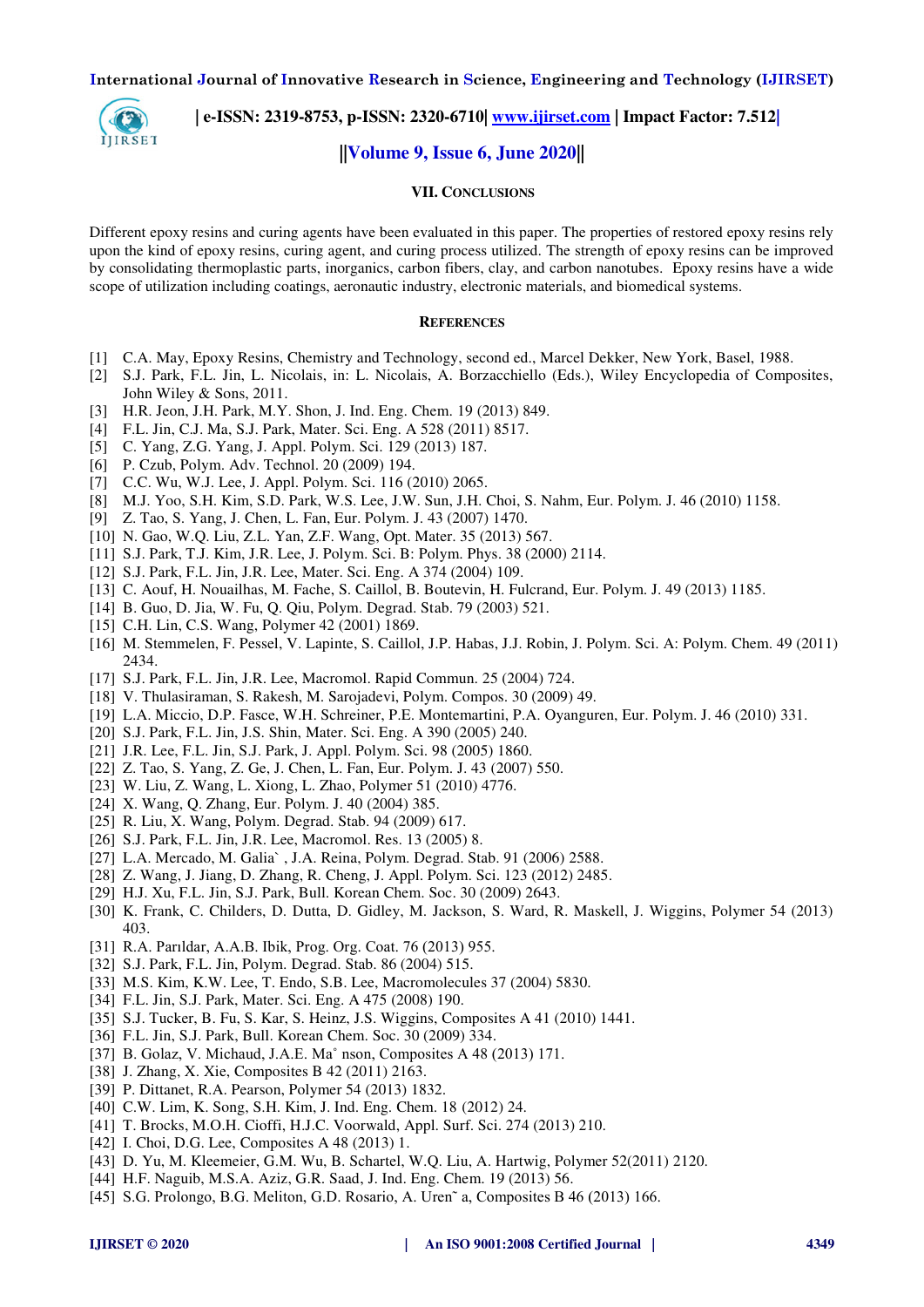

 **| e-ISSN: 2319-8753, p-ISSN: 2320-6710| [www.ijirset.com](http://www.ijirset.com/) | Impact Factor: 7.512|**

## **||Volume 9, Issue 6, June 2020||**

## **VII. CONCLUSIONS**

Different epoxy resins and curing agents have been evaluated in this paper. The properties of restored epoxy resins rely upon the kind of epoxy resins, curing agent, and curing process utilized. The strength of epoxy resins can be improved by consolidating thermoplastic parts, inorganics, carbon fibers, clay, and carbon nanotubes. Epoxy resins have a wide scope of utilization including coatings, aeronautic industry, electronic materials, and biomedical systems.

#### **REFERENCES**

- [1] C.A. May, Epoxy Resins, Chemistry and Technology, second ed., Marcel Dekker, New York, Basel, 1988.
- [2] S.J. Park, F.L. Jin, L. Nicolais, in: L. Nicolais, A. Borzacchiello (Eds.), Wiley Encyclopedia of Composites, John Wiley & Sons, 2011.
- [3] H.R. Jeon, J.H. Park, M.Y. Shon, J. Ind. Eng. Chem. 19 (2013) 849.
- [4] F.L. Jin, C.J. Ma, S.J. Park, Mater. Sci. Eng. A 528 (2011) 8517.
- [5] C. Yang, Z.G. Yang, J. Appl. Polym. Sci. 129 (2013) 187.
- [6] P. Czub, Polym. Adv. Technol. 20 (2009) 194.
- [7] C.C. Wu, W.J. Lee, J. Appl. Polym. Sci. 116 (2010) 2065.
- [8] M.J. Yoo, S.H. Kim, S.D. Park, W.S. Lee, J.W. Sun, J.H. Choi, S. Nahm, Eur. Polym. J. 46 (2010) 1158.
- [9] Z. Tao, S. Yang, J. Chen, L. Fan, Eur. Polym. J. 43 (2007) 1470.
- [10] N. Gao, W.Q. Liu, Z.L. Yan, Z.F. Wang, Opt. Mater. 35 (2013) 567.
- [11] S.J. Park, T.J. Kim, J.R. Lee, J. Polym. Sci. B: Polym. Phys. 38 (2000) 2114.
- [12] S.J. Park, F.L. Jin, J.R. Lee, Mater. Sci. Eng. A 374 (2004) 109.
- [13] C. Aouf, H. Nouailhas, M. Fache, S. Caillol, B. Boutevin, H. Fulcrand, Eur. Polym. J. 49 (2013) 1185.
- [14] B. Guo, D. Jia, W. Fu, Q. Qiu, Polym. Degrad. Stab. 79 (2003) 521.
- [15] C.H. Lin, C.S. Wang, Polymer 42 (2001) 1869.
- [16] M. Stemmelen, F. Pessel, V. Lapinte, S. Caillol, J.P. Habas, J.J. Robin, J. Polym. Sci. A: Polym. Chem. 49 (2011) 2434.
- [17] S.J. Park, F.L. Jin, J.R. Lee, Macromol. Rapid Commun. 25 (2004) 724.
- [18] V. Thulasiraman, S. Rakesh, M. Sarojadevi, Polym. Compos. 30 (2009) 49.
- [19] L.A. Miccio, D.P. Fasce, W.H. Schreiner, P.E. Montemartini, P.A. Oyanguren, Eur. Polym. J. 46 (2010) 331.
- [20] S.J. Park, F.L. Jin, J.S. Shin, Mater. Sci. Eng. A 390 (2005) 240.
- [21] J.R. Lee, F.L. Jin, S.J. Park, J. Appl. Polym. Sci. 98 (2005) 1860.
- [22] Z. Tao, S. Yang, Z. Ge, J. Chen, L. Fan, Eur. Polym. J. 43 (2007) 550.
- [23] W. Liu, Z. Wang, L. Xiong, L. Zhao, Polymer 51 (2010) 4776.
- [24] X. Wang, Q. Zhang, Eur. Polym. J. 40 (2004) 385.
- [25] R. Liu, X. Wang, Polym. Degrad. Stab. 94 (2009) 617.
- [26] S.J. Park, F.L. Jin, J.R. Lee, Macromol. Res. 13 (2005) 8.
- [27] L.A. Mercado, M. Galia` , J.A. Reina, Polym. Degrad. Stab. 91 (2006) 2588.
- [28] Z. Wang, J. Jiang, D. Zhang, R. Cheng, J. Appl. Polym. Sci. 123 (2012) 2485.
- [29] H.J. Xu, F.L. Jin, S.J. Park, Bull. Korean Chem. Soc. 30 (2009) 2643.
- [30] K. Frank, C. Childers, D. Dutta, D. Gidley, M. Jackson, S. Ward, R. Maskell, J. Wiggins, Polymer 54 (2013) 403.
- [31] R.A. Parıldar, A.A.B. Ibik, Prog. Org. Coat. 76 (2013) 955.
- [32] S.J. Park, F.L. Jin, Polym. Degrad. Stab. 86 (2004) 515.
- [33] M.S. Kim, K.W. Lee, T. Endo, S.B. Lee, Macromolecules 37 (2004) 5830.
- [34] F.L. Jin, S.J. Park, Mater. Sci. Eng. A 475 (2008) 190.
- [35] S.J. Tucker, B. Fu, S. Kar, S. Heinz, J.S. Wiggins, Composites A 41 (2010) 1441.
- [36] F.L. Jin, S.J. Park, Bull. Korean Chem. Soc. 30 (2009) 334.
- [37] B. Golaz, V. Michaud, J.A.E. Ma˚ nson, Composites A 48 (2013) 171.
- [38] J. Zhang, X. Xie, Composites B 42 (2011) 2163.
- [39] P. Dittanet, R.A. Pearson, Polymer 54 (2013) 1832.
- [40] C.W. Lim, K. Song, S.H. Kim, J. Ind. Eng. Chem. 18 (2012) 24.
- [41] T. Brocks, M.O.H. Cioffi, H.J.C. Voorwald, Appl. Surf. Sci. 274 (2013) 210.
- [42] I. Choi, D.G. Lee, Composites A 48 (2013) 1.
- [43] D. Yu, M. Kleemeier, G.M. Wu, B. Schartel, W.Q. Liu, A. Hartwig, Polymer 52(2011) 2120.
- [44] H.F. Naguib, M.S.A. Aziz, G.R. Saad, J. Ind. Eng. Chem. 19 (2013) 56.
- [45] S.G. Prolongo, B.G. Meliton, G.D. Rosario, A. Uren˜ a, Composites B 46 (2013) 166.